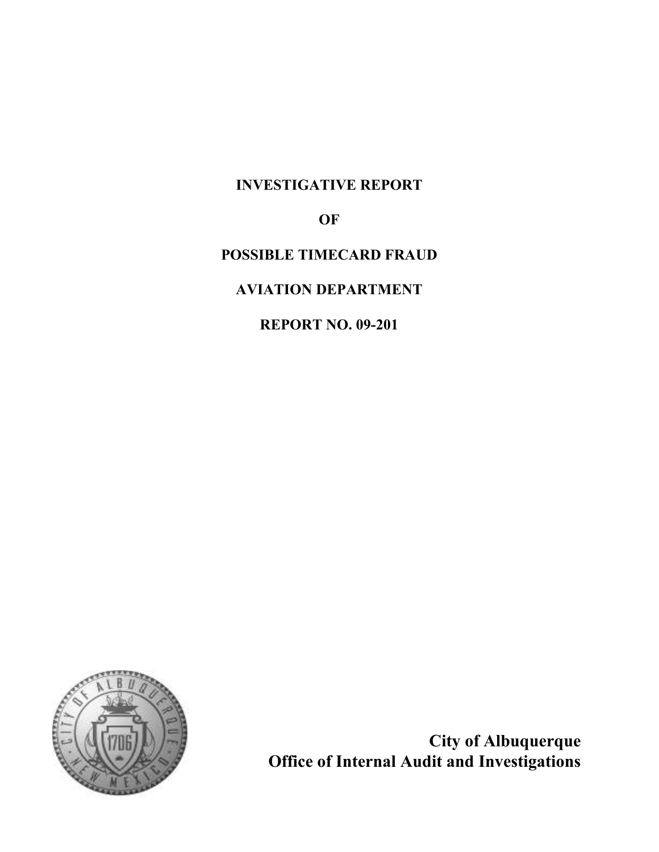# INVESTIGATIVE REPORT

OF

POSSIBLE TIMECARD FRAUD

AVIATION DEPARTMENT

REPORT NO. 09-201



City of Albuquerque Office of Internal Audit and Investigations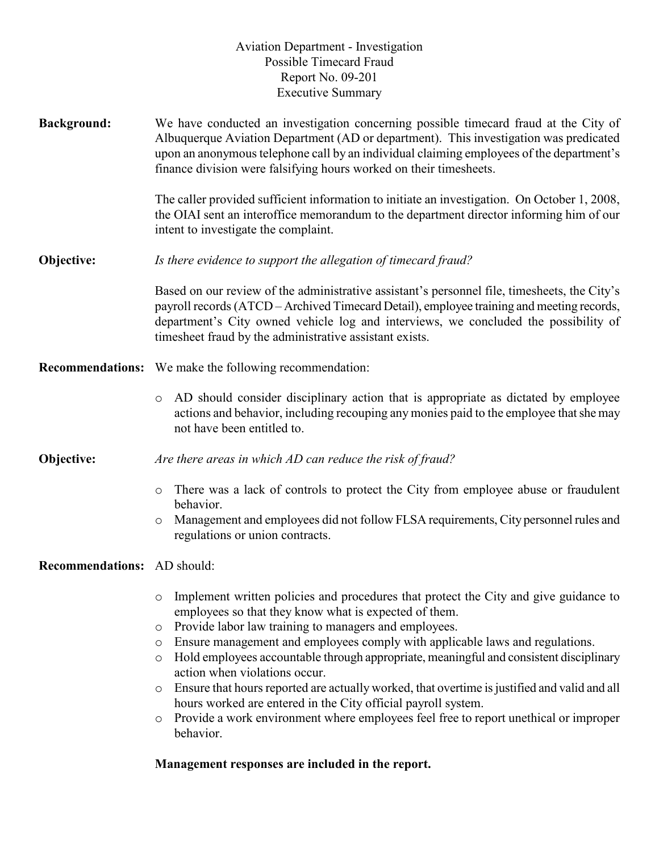# Aviation Department - Investigation Possible Timecard Fraud Report No. 09-201 Executive Summary

Background: We have conducted an investigation concerning possible timecard fraud at the City of Albuquerque Aviation Department (AD or department). This investigation was predicated upon an anonymous telephone call by an individual claiming employees of the department's finance division were falsifying hours worked on their timesheets.

> The caller provided sufficient information to initiate an investigation. On October 1, 2008, the OIAI sent an interoffice memorandum to the department director informing him of our intent to investigate the complaint.

**Objective:** *Is there evidence to support the allegation of timecard fraud?* 

Based on our review of the administrative assistant's personnel file, timesheets, the City's payroll records (ATCD – Archived Timecard Detail), employee training and meeting records, department's City owned vehicle log and interviews, we concluded the possibility of timesheet fraud by the administrative assistant exists.

- Recommendations: We make the following recommendation:
	- o AD should consider disciplinary action that is appropriate as dictated by employee actions and behavior, including recouping any monies paid to the employee that she may not have been entitled to.
- **Objective:** Are there areas in which AD can reduce the risk of fraud?
	- o There was a lack of controls to protect the City from employee abuse or fraudulent behavior.
	- o Management and employees did not follow FLSA requirements, City personnel rules and regulations or union contracts.

# Recommendations: AD should:

- o Implement written policies and procedures that protect the City and give guidance to employees so that they know what is expected of them.
- o Provide labor law training to managers and employees.
- o Ensure management and employees comply with applicable laws and regulations.
- o Hold employees accountable through appropriate, meaningful and consistent disciplinary action when violations occur.
- o Ensure that hours reported are actually worked, that overtime is justified and valid and all hours worked are entered in the City official payroll system.
- o Provide a work environment where employees feel free to report unethical or improper behavior.

# Management responses are included in the report.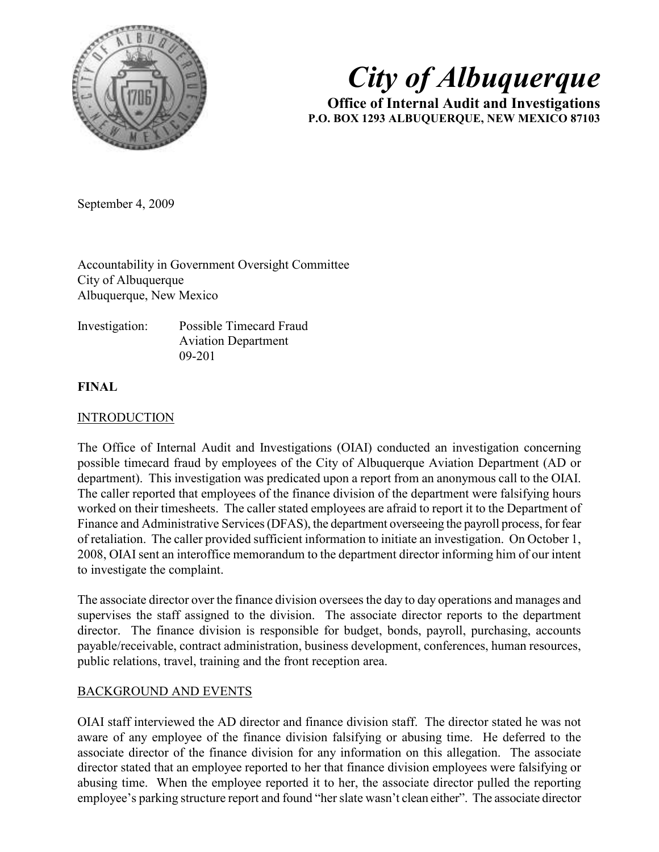

# City of Albuquerque

Office of Internal Audit and Investigations P.O. BOX 1293 ALBUQUERQUE, NEW MEXICO 87103

September 4, 2009

Accountability in Government Oversight Committee City of Albuquerque Albuquerque, New Mexico

| Investigation: | Possible Timecard Fraud    |
|----------------|----------------------------|
|                | <b>Aviation Department</b> |
|                | $09 - 201$                 |

# FINAL

# INTRODUCTION

The Office of Internal Audit and Investigations (OIAI) conducted an investigation concerning possible timecard fraud by employees of the City of Albuquerque Aviation Department (AD or department). This investigation was predicated upon a report from an anonymous call to the OIAI. The caller reported that employees of the finance division of the department were falsifying hours worked on their timesheets. The caller stated employees are afraid to report it to the Department of Finance and Administrative Services (DFAS), the department overseeing the payroll process, for fear of retaliation. The caller provided sufficient information to initiate an investigation. On October 1, 2008, OIAI sent an interoffice memorandum to the department director informing him of our intent to investigate the complaint.

The associate director over the finance division oversees the day to day operations and manages and supervises the staff assigned to the division. The associate director reports to the department director. The finance division is responsible for budget, bonds, payroll, purchasing, accounts payable/receivable, contract administration, business development, conferences, human resources, public relations, travel, training and the front reception area.

# BACKGROUND AND EVENTS

OIAI staff interviewed the AD director and finance division staff. The director stated he was not aware of any employee of the finance division falsifying or abusing time. He deferred to the associate director of the finance division for any information on this allegation. The associate director stated that an employee reported to her that finance division employees were falsifying or abusing time. When the employee reported it to her, the associate director pulled the reporting employee's parking structure report and found "her slate wasn't clean either". The associate director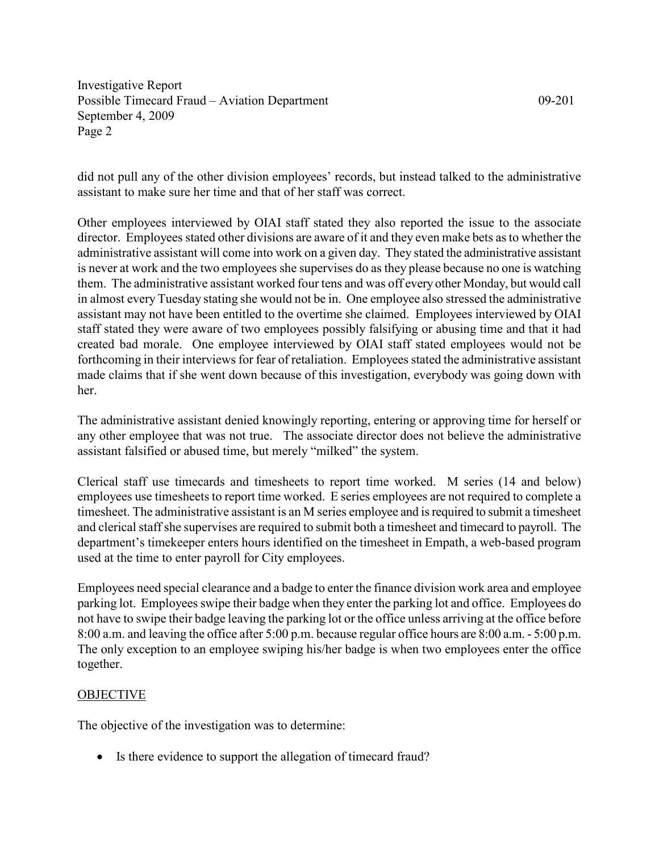did not pull any of the other division employees' records, but instead talked to the administrative assistant to make sure her time and that of her staff was correct.

Other employees interviewed by OIAI staff stated they also reported the issue to the associate director. Employees stated other divisions are aware of it and they even make bets as to whether the administrative assistant will come into work on a given day. They stated the administrative assistant is never at work and the two employees she supervises do as they please because no one is watching them. The administrative assistant worked four tens and was off every other Monday, but would call in almost every Tuesday stating she would not be in. One employee also stressed the administrative assistant may not have been entitled to the overtime she claimed. Employees interviewed by OIAI staff stated they were aware of two employees possibly falsifying or abusing time and that it had created bad morale. One employee interviewed by OIAI staff stated employees would not be forthcoming in their interviews for fear of retaliation. Employees stated the administrative assistant made claims that if she went down because of this investigation, everybody was going down with her.

The administrative assistant denied knowingly reporting, entering or approving time for herself or any other employee that was not true. The associate director does not believe the administrative assistant falsified or abused time, but merely "milked" the system.

Clerical staff use timecards and timesheets to report time worked. M series (14 and below) employees use timesheets to report time worked. E series employees are not required to complete a timesheet. The administrative assistant is an M series employee and is required to submit a timesheet and clerical staff she supervises are required to submit both a timesheet and timecard to payroll. The department's timekeeper enters hours identified on the timesheet in Empath, a web-based program used at the time to enter payroll for City employees.

Employees need special clearance and a badge to enter the finance division work area and employee parking lot. Employees swipe their badge when they enter the parking lot and office. Employees do not have to swipe their badge leaving the parking lot or the office unless arriving at the office before 8:00 a.m. and leaving the office after 5:00 p.m. because regular office hours are 8:00 a.m. - 5:00 p.m. The only exception to an employee swiping his/her badge is when two employees enter the office together.

# OBJECTIVE

The objective of the investigation was to determine:

• Is there evidence to support the allegation of timecard fraud?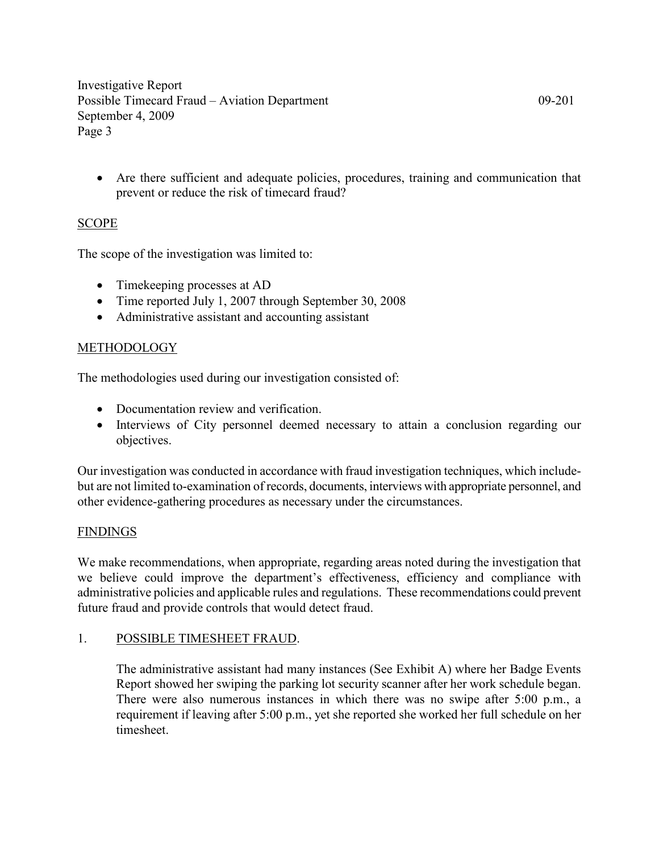• Are there sufficient and adequate policies, procedures, training and communication that prevent or reduce the risk of timecard fraud?

# SCOPE

The scope of the investigation was limited to:

- Timekeeping processes at AD
- Time reported July 1, 2007 through September 30, 2008
- Administrative assistant and accounting assistant

# METHODOLOGY

The methodologies used during our investigation consisted of:

- Documentation review and verification.
- Interviews of City personnel deemed necessary to attain a conclusion regarding our objectives.

Our investigation was conducted in accordance with fraud investigation techniques, which includebut are not limited to-examination of records, documents, interviews with appropriate personnel, and other evidence-gathering procedures as necessary under the circumstances.

# FINDINGS

We make recommendations, when appropriate, regarding areas noted during the investigation that we believe could improve the department's effectiveness, efficiency and compliance with administrative policies and applicable rules and regulations. These recommendations could prevent future fraud and provide controls that would detect fraud.

# 1. POSSIBLE TIMESHEET FRAUD.

The administrative assistant had many instances (See Exhibit A) where her Badge Events Report showed her swiping the parking lot security scanner after her work schedule began. There were also numerous instances in which there was no swipe after 5:00 p.m., a requirement if leaving after 5:00 p.m., yet she reported she worked her full schedule on her timesheet.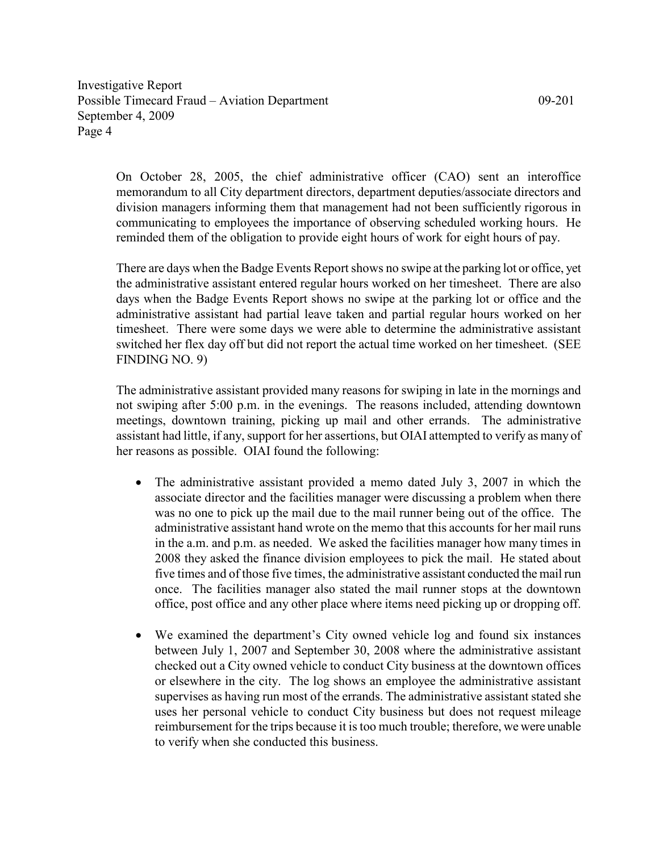On October 28, 2005, the chief administrative officer (CAO) sent an interoffice memorandum to all City department directors, department deputies/associate directors and division managers informing them that management had not been sufficiently rigorous in communicating to employees the importance of observing scheduled working hours. He reminded them of the obligation to provide eight hours of work for eight hours of pay.

There are days when the Badge Events Report shows no swipe at the parking lot or office, yet the administrative assistant entered regular hours worked on her timesheet. There are also days when the Badge Events Report shows no swipe at the parking lot or office and the administrative assistant had partial leave taken and partial regular hours worked on her timesheet. There were some days we were able to determine the administrative assistant switched her flex day off but did not report the actual time worked on her timesheet. (SEE FINDING NO. 9)

The administrative assistant provided many reasons for swiping in late in the mornings and not swiping after 5:00 p.m. in the evenings. The reasons included, attending downtown meetings, downtown training, picking up mail and other errands. The administrative assistant had little, if any, support for her assertions, but OIAI attempted to verify as many of her reasons as possible. OIAI found the following:

- The administrative assistant provided a memo dated July 3, 2007 in which the associate director and the facilities manager were discussing a problem when there was no one to pick up the mail due to the mail runner being out of the office. The administrative assistant hand wrote on the memo that this accounts for her mail runs in the a.m. and p.m. as needed. We asked the facilities manager how many times in 2008 they asked the finance division employees to pick the mail. He stated about five times and of those five times, the administrative assistant conducted the mail run once. The facilities manager also stated the mail runner stops at the downtown office, post office and any other place where items need picking up or dropping off.
- We examined the department's City owned vehicle log and found six instances between July 1, 2007 and September 30, 2008 where the administrative assistant checked out a City owned vehicle to conduct City business at the downtown offices or elsewhere in the city. The log shows an employee the administrative assistant supervises as having run most of the errands. The administrative assistant stated she uses her personal vehicle to conduct City business but does not request mileage reimbursement for the trips because it is too much trouble; therefore, we were unable to verify when she conducted this business.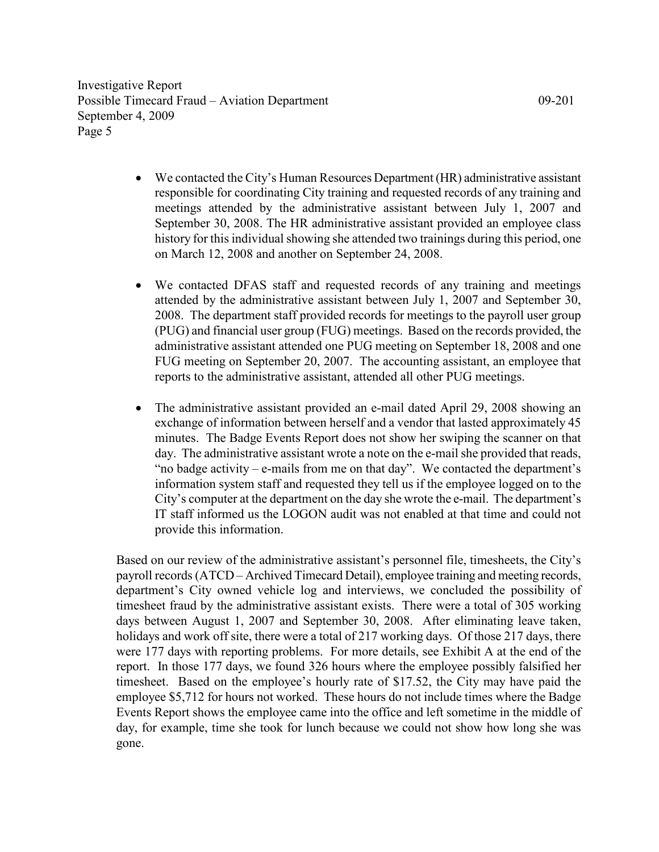- We contacted the City's Human Resources Department (HR) administrative assistant responsible for coordinating City training and requested records of any training and meetings attended by the administrative assistant between July 1, 2007 and September 30, 2008. The HR administrative assistant provided an employee class history for this individual showing she attended two trainings during this period, one on March 12, 2008 and another on September 24, 2008.
- We contacted DFAS staff and requested records of any training and meetings attended by the administrative assistant between July 1, 2007 and September 30, 2008. The department staff provided records for meetings to the payroll user group (PUG) and financial user group (FUG) meetings. Based on the records provided, the administrative assistant attended one PUG meeting on September 18, 2008 and one FUG meeting on September 20, 2007. The accounting assistant, an employee that reports to the administrative assistant, attended all other PUG meetings.
- The administrative assistant provided an e-mail dated April 29, 2008 showing an exchange of information between herself and a vendor that lasted approximately 45 minutes. The Badge Events Report does not show her swiping the scanner on that day. The administrative assistant wrote a note on the e-mail she provided that reads, "no badge activity – e-mails from me on that day". We contacted the department's information system staff and requested they tell us if the employee logged on to the City's computer at the department on the day she wrote the e-mail. The department's IT staff informed us the LOGON audit was not enabled at that time and could not provide this information.

Based on our review of the administrative assistant's personnel file, timesheets, the City's payroll records (ATCD – Archived Timecard Detail), employee training and meeting records, department's City owned vehicle log and interviews, we concluded the possibility of timesheet fraud by the administrative assistant exists. There were a total of 305 working days between August 1, 2007 and September 30, 2008. After eliminating leave taken, holidays and work off site, there were a total of 217 working days. Of those 217 days, there were 177 days with reporting problems. For more details, see Exhibit A at the end of the report. In those 177 days, we found 326 hours where the employee possibly falsified her timesheet. Based on the employee's hourly rate of \$17.52, the City may have paid the employee \$5,712 for hours not worked. These hours do not include times where the Badge Events Report shows the employee came into the office and left sometime in the middle of day, for example, time she took for lunch because we could not show how long she was gone.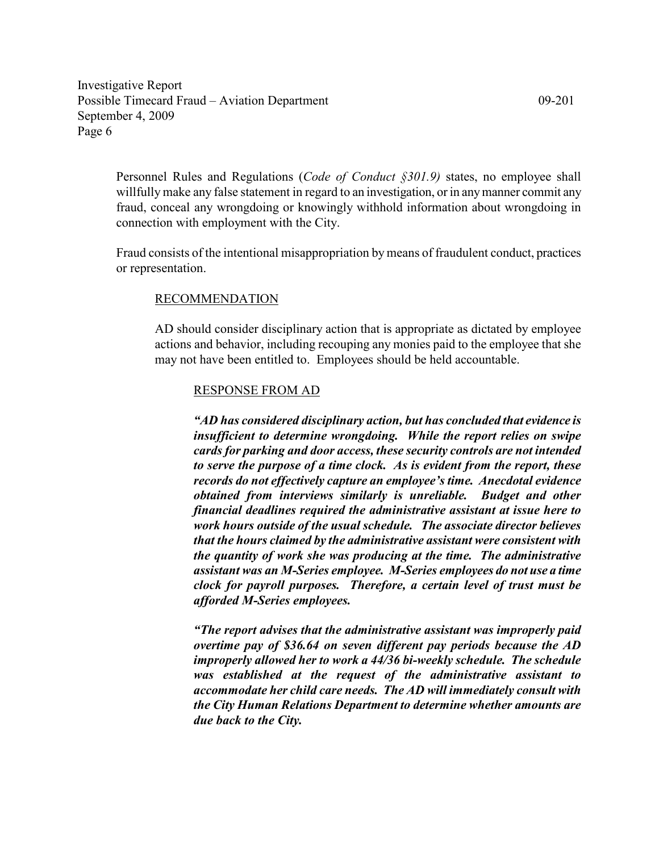Personnel Rules and Regulations (Code of Conduct §301.9) states, no employee shall willfully make any false statement in regard to an investigation, or in any manner commit any fraud, conceal any wrongdoing or knowingly withhold information about wrongdoing in connection with employment with the City.

Fraud consists of the intentional misappropriation by means of fraudulent conduct, practices or representation.

## RECOMMENDATION

AD should consider disciplinary action that is appropriate as dictated by employee actions and behavior, including recouping any monies paid to the employee that she may not have been entitled to. Employees should be held accountable.

#### RESPONSE FROM AD

"AD has considered disciplinary action, but has concluded that evidence is insufficient to determine wrongdoing. While the report relies on swipe cards for parking and door access, these security controls are not intended to serve the purpose of a time clock. As is evident from the report, these records do not effectively capture an employee's time. Anecdotal evidence obtained from interviews similarly is unreliable. Budget and other financial deadlines required the administrative assistant at issue here to work hours outside of the usual schedule. The associate director believes that the hours claimed by the administrative assistant were consistent with the quantity of work she was producing at the time. The administrative assistant was an M-Series employee. M-Series employees do not use a time clock for payroll purposes. Therefore, a certain level of trust must be afforded M-Series employees.

"The report advises that the administrative assistant was improperly paid overtime pay of \$36.64 on seven different pay periods because the AD improperly allowed her to work a 44/36 bi-weekly schedule. The schedule was established at the request of the administrative assistant to accommodate her child care needs. The AD will immediately consult with the City Human Relations Department to determine whether amounts are due back to the City.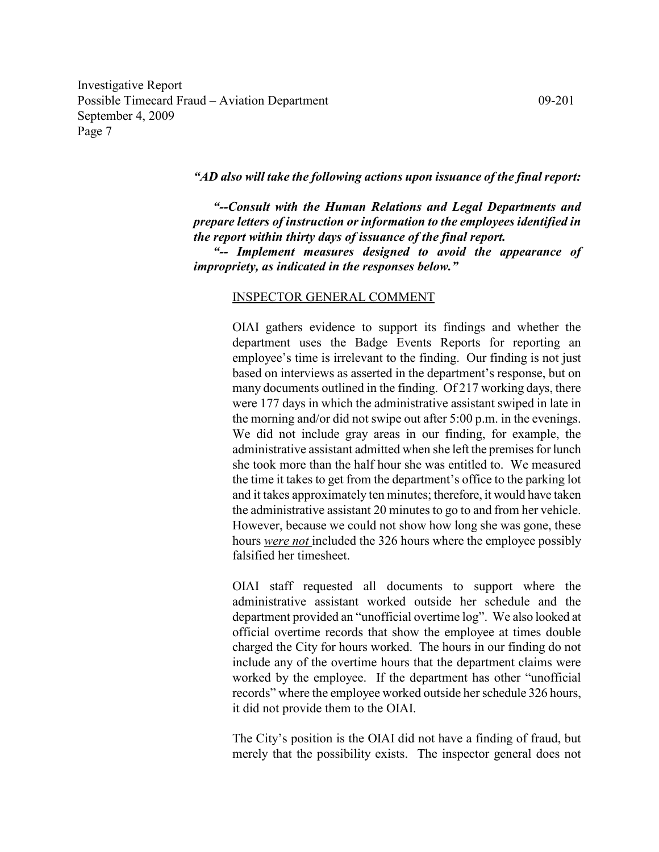## "AD also will take the following actions upon issuance of the final report:

"--Consult with the Human Relations and Legal Departments and prepare letters of instruction or information to the employees identified in the report within thirty days of issuance of the final report.

"-- Implement measures designed to avoid the appearance of impropriety, as indicated in the responses below."

#### INSPECTOR GENERAL COMMENT

OIAI gathers evidence to support its findings and whether the department uses the Badge Events Reports for reporting an employee's time is irrelevant to the finding. Our finding is not just based on interviews as asserted in the department's response, but on many documents outlined in the finding. Of 217 working days, there were 177 days in which the administrative assistant swiped in late in the morning and/or did not swipe out after 5:00 p.m. in the evenings. We did not include gray areas in our finding, for example, the administrative assistant admitted when she left the premises for lunch she took more than the half hour she was entitled to. We measured the time it takes to get from the department's office to the parking lot and it takes approximately ten minutes; therefore, it would have taken the administrative assistant 20 minutes to go to and from her vehicle. However, because we could not show how long she was gone, these hours *were not* included the 326 hours where the employee possibly falsified her timesheet.

OIAI staff requested all documents to support where the administrative assistant worked outside her schedule and the department provided an "unofficial overtime log". We also looked at official overtime records that show the employee at times double charged the City for hours worked. The hours in our finding do not include any of the overtime hours that the department claims were worked by the employee. If the department has other "unofficial records" where the employee worked outside her schedule 326 hours, it did not provide them to the OIAI.

The City's position is the OIAI did not have a finding of fraud, but merely that the possibility exists. The inspector general does not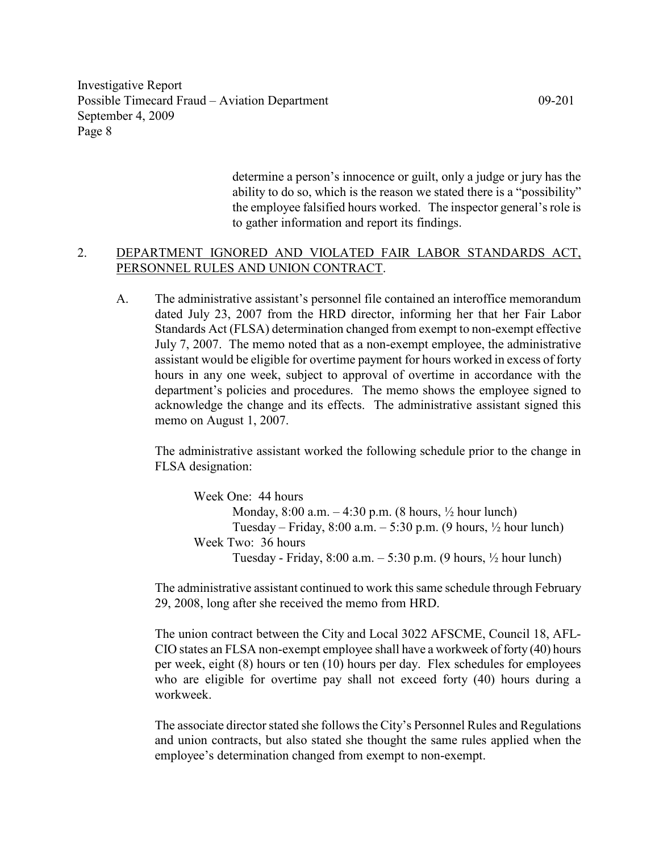> determine a person's innocence or guilt, only a judge or jury has the ability to do so, which is the reason we stated there is a "possibility" the employee falsified hours worked. The inspector general's role is to gather information and report its findings.

# 2. DEPARTMENT IGNORED AND VIOLATED FAIR LABOR STANDARDS ACT, PERSONNEL RULES AND UNION CONTRACT.

A. The administrative assistant's personnel file contained an interoffice memorandum dated July 23, 2007 from the HRD director, informing her that her Fair Labor Standards Act (FLSA) determination changed from exempt to non-exempt effective July 7, 2007. The memo noted that as a non-exempt employee, the administrative assistant would be eligible for overtime payment for hours worked in excess of forty hours in any one week, subject to approval of overtime in accordance with the department's policies and procedures. The memo shows the employee signed to acknowledge the change and its effects. The administrative assistant signed this memo on August 1, 2007.

 The administrative assistant worked the following schedule prior to the change in FLSA designation:

 Week One: 44 hours Monday, 8:00 a.m. – 4:30 p.m. (8 hours, ½ hour lunch) Tuesday – Friday,  $8:00$  a.m. –  $5:30$  p.m. (9 hours,  $\frac{1}{2}$  hour lunch) Week Two: 36 hours Tuesday - Friday,  $8:00$  a.m.  $-5:30$  p.m. (9 hours,  $\frac{1}{2}$  hour lunch)

The administrative assistant continued to work this same schedule through February 29, 2008, long after she received the memo from HRD.

The union contract between the City and Local 3022 AFSCME, Council 18, AFL-CIO states an FLSA non-exempt employee shall have a workweek of forty (40) hours per week, eight (8) hours or ten (10) hours per day. Flex schedules for employees who are eligible for overtime pay shall not exceed forty (40) hours during a workweek.

The associate director stated she follows the City's Personnel Rules and Regulations and union contracts, but also stated she thought the same rules applied when the employee's determination changed from exempt to non-exempt.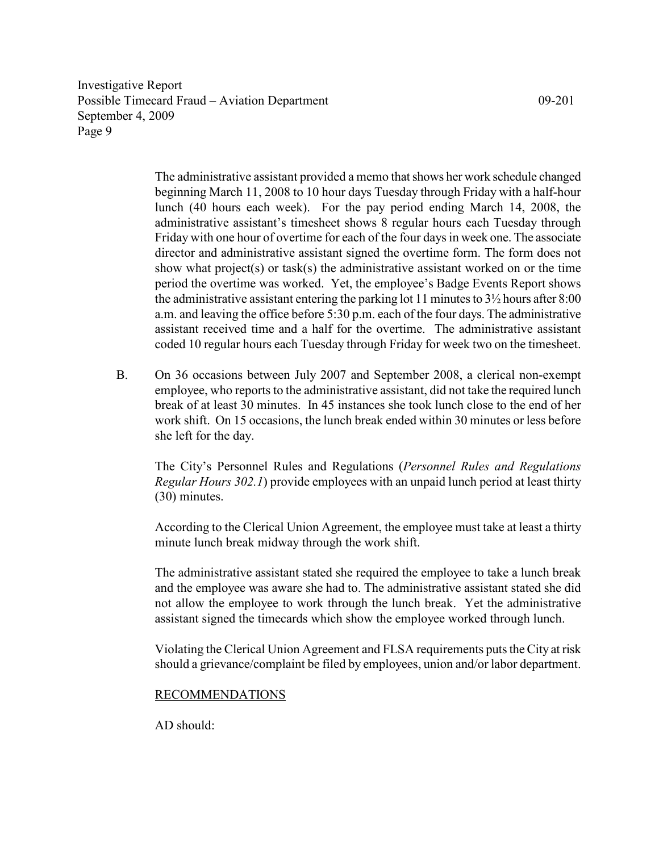> The administrative assistant provided a memo that shows her work schedule changed beginning March 11, 2008 to 10 hour days Tuesday through Friday with a half-hour lunch (40 hours each week). For the pay period ending March 14, 2008, the administrative assistant's timesheet shows 8 regular hours each Tuesday through Friday with one hour of overtime for each of the four days in week one. The associate director and administrative assistant signed the overtime form. The form does not show what project(s) or task(s) the administrative assistant worked on or the time period the overtime was worked. Yet, the employee's Badge Events Report shows the administrative assistant entering the parking lot 11 minutes to  $3\frac{1}{2}$  hours after 8:00 a.m. and leaving the office before 5:30 p.m. each of the four days. The administrative assistant received time and a half for the overtime. The administrative assistant coded 10 regular hours each Tuesday through Friday for week two on the timesheet.

B. On 36 occasions between July 2007 and September 2008, a clerical non-exempt employee, who reports to the administrative assistant, did not take the required lunch break of at least 30 minutes. In 45 instances she took lunch close to the end of her work shift. On 15 occasions, the lunch break ended within 30 minutes or less before she left for the day.

The City's Personnel Rules and Regulations (Personnel Rules and Regulations Regular Hours 302.1) provide employees with an unpaid lunch period at least thirty (30) minutes.

According to the Clerical Union Agreement, the employee must take at least a thirty minute lunch break midway through the work shift.

The administrative assistant stated she required the employee to take a lunch break and the employee was aware she had to. The administrative assistant stated she did not allow the employee to work through the lunch break. Yet the administrative assistant signed the timecards which show the employee worked through lunch.

Violating the Clerical Union Agreement and FLSA requirements puts the City at risk should a grievance/complaint be filed by employees, union and/or labor department.

# RECOMMENDATIONS

 $AD$  should: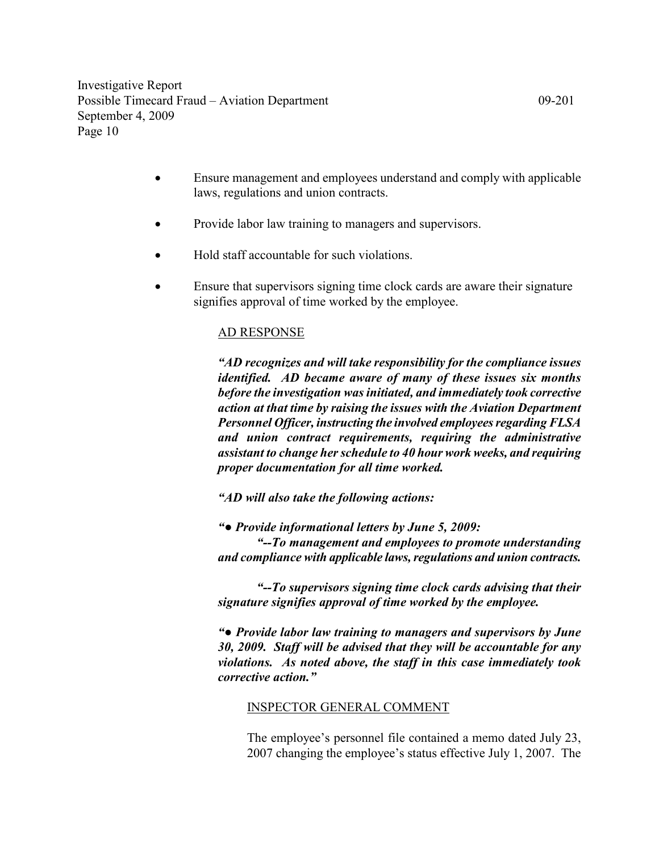- Ensure management and employees understand and comply with applicable laws, regulations and union contracts.
- Provide labor law training to managers and supervisors.
- Hold staff accountable for such violations.
- Ensure that supervisors signing time clock cards are aware their signature signifies approval of time worked by the employee.

# AD RESPONSE

"AD recognizes and will take responsibility for the compliance issues identified. AD became aware of many of these issues six months before the investigation was initiated, and immediately took corrective action at that time by raising the issues with the Aviation Department Personnel Officer, instructing the involved employees regarding FLSA and union contract requirements, requiring the administrative assistant to change her schedule to 40 hour work weeks, and requiring proper documentation for all time worked.

"AD will also take the following actions:

"● Provide informational letters by June 5, 2009:

"--To management and employees to promote understanding and compliance with applicable laws, regulations and union contracts.

"--To supervisors signing time clock cards advising that their signature signifies approval of time worked by the employee.

"● Provide labor law training to managers and supervisors by June 30, 2009. Staff will be advised that they will be accountable for any violations. As noted above, the staff in this case immediately took corrective action."

# INSPECTOR GENERAL COMMENT

The employee's personnel file contained a memo dated July 23, 2007 changing the employee's status effective July 1, 2007. The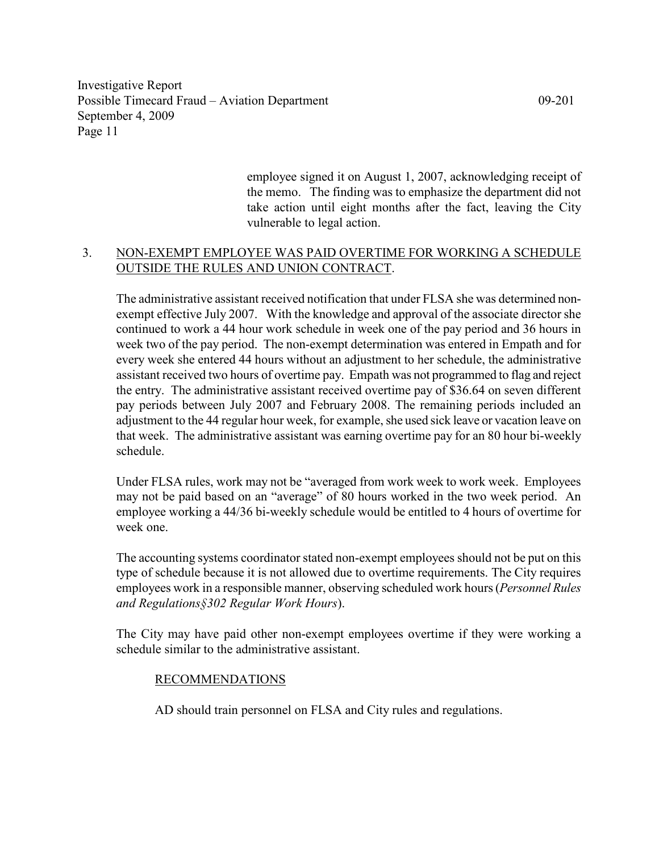> employee signed it on August 1, 2007, acknowledging receipt of the memo. The finding was to emphasize the department did not take action until eight months after the fact, leaving the City vulnerable to legal action.

# 3. NON-EXEMPT EMPLOYEE WAS PAID OVERTIME FOR WORKING A SCHEDULE OUTSIDE THE RULES AND UNION CONTRACT.

The administrative assistant received notification that under FLSA she was determined nonexempt effective July 2007. With the knowledge and approval of the associate director she continued to work a 44 hour work schedule in week one of the pay period and 36 hours in week two of the pay period. The non-exempt determination was entered in Empath and for every week she entered 44 hours without an adjustment to her schedule, the administrative assistant received two hours of overtime pay. Empath was not programmed to flag and reject the entry. The administrative assistant received overtime pay of \$36.64 on seven different pay periods between July 2007 and February 2008. The remaining periods included an adjustment to the 44 regular hour week, for example, she used sick leave or vacation leave on that week. The administrative assistant was earning overtime pay for an 80 hour bi-weekly schedule.

Under FLSA rules, work may not be "averaged from work week to work week. Employees may not be paid based on an "average" of 80 hours worked in the two week period. An employee working a 44/36 bi-weekly schedule would be entitled to 4 hours of overtime for week one.

The accounting systems coordinator stated non-exempt employees should not be put on this type of schedule because it is not allowed due to overtime requirements. The City requires employees work in a responsible manner, observing scheduled work hours (*Personnel Rules* and Regulations§302 Regular Work Hours).

The City may have paid other non-exempt employees overtime if they were working a schedule similar to the administrative assistant.

# RECOMMENDATIONS

AD should train personnel on FLSA and City rules and regulations.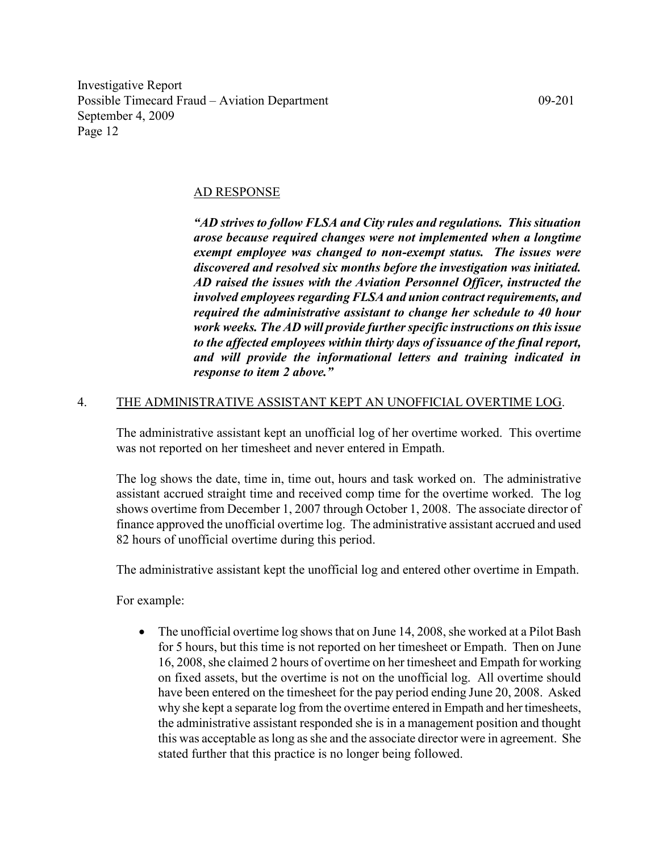#### AD RESPONSE

"AD strives to follow FLSA and City rules and regulations. This situation arose because required changes were not implemented when a longtime exempt employee was changed to non-exempt status. The issues were discovered and resolved six months before the investigation was initiated. AD raised the issues with the Aviation Personnel Officer, instructed the involved employees regarding FLSA and union contract requirements, and required the administrative assistant to change her schedule to 40 hour work weeks. The AD will provide further specific instructions on this issue to the affected employees within thirty days of issuance of the final report, and will provide the informational letters and training indicated in response to item 2 above."

# 4. THE ADMINISTRATIVE ASSISTANT KEPT AN UNOFFICIAL OVERTIME LOG.

The administrative assistant kept an unofficial log of her overtime worked. This overtime was not reported on her timesheet and never entered in Empath.

The log shows the date, time in, time out, hours and task worked on. The administrative assistant accrued straight time and received comp time for the overtime worked. The log shows overtime from December 1, 2007 through October 1, 2008. The associate director of finance approved the unofficial overtime log. The administrative assistant accrued and used 82 hours of unofficial overtime during this period.

The administrative assistant kept the unofficial log and entered other overtime in Empath.

For example:

• The unofficial overtime log shows that on June 14, 2008, she worked at a Pilot Bash for 5 hours, but this time is not reported on her timesheet or Empath. Then on June 16, 2008, she claimed 2 hours of overtime on her timesheet and Empath for working on fixed assets, but the overtime is not on the unofficial log. All overtime should have been entered on the timesheet for the pay period ending June 20, 2008. Asked why she kept a separate log from the overtime entered in Empath and her timesheets, the administrative assistant responded she is in a management position and thought this was acceptable as long as she and the associate director were in agreement. She stated further that this practice is no longer being followed.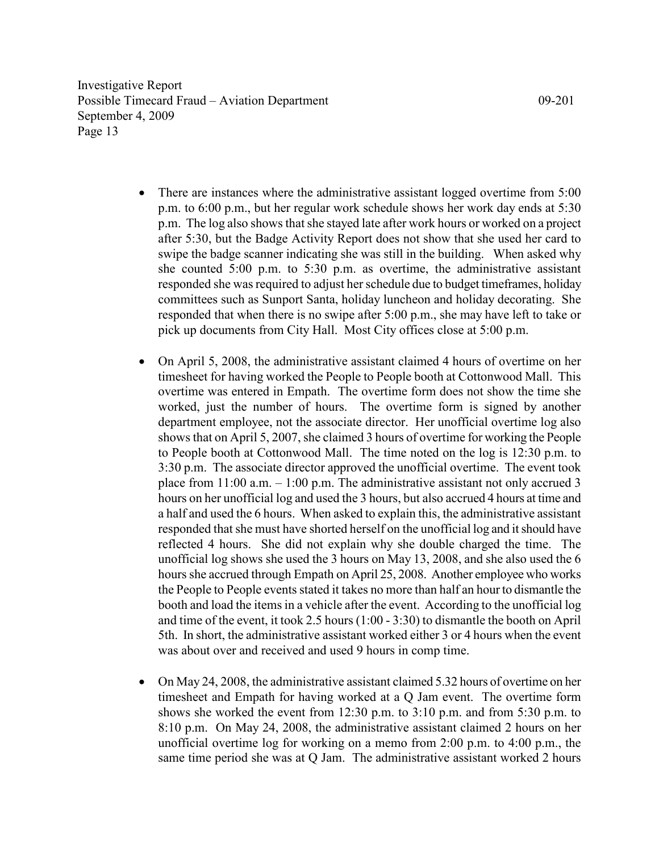- There are instances where the administrative assistant logged overtime from 5:00 p.m. to 6:00 p.m., but her regular work schedule shows her work day ends at 5:30 p.m. The log also shows that she stayed late after work hours or worked on a project after 5:30, but the Badge Activity Report does not show that she used her card to swipe the badge scanner indicating she was still in the building. When asked why she counted 5:00 p.m. to 5:30 p.m. as overtime, the administrative assistant responded she was required to adjust her schedule due to budget timeframes, holiday committees such as Sunport Santa, holiday luncheon and holiday decorating. She responded that when there is no swipe after 5:00 p.m., she may have left to take or pick up documents from City Hall. Most City offices close at 5:00 p.m.
- On April 5, 2008, the administrative assistant claimed 4 hours of overtime on her timesheet for having worked the People to People booth at Cottonwood Mall. This overtime was entered in Empath. The overtime form does not show the time she worked, just the number of hours. The overtime form is signed by another department employee, not the associate director. Her unofficial overtime log also shows that on April 5, 2007, she claimed 3 hours of overtime for working the People to People booth at Cottonwood Mall. The time noted on the log is 12:30 p.m. to 3:30 p.m. The associate director approved the unofficial overtime. The event took place from  $11:00$  a.m.  $-1:00$  p.m. The administrative assistant not only accrued 3 hours on her unofficial log and used the 3 hours, but also accrued 4 hours at time and a half and used the 6 hours. When asked to explain this, the administrative assistant responded that she must have shorted herself on the unofficial log and it should have reflected 4 hours. She did not explain why she double charged the time. The unofficial log shows she used the 3 hours on May 13, 2008, and she also used the 6 hours she accrued through Empath on April 25, 2008. Another employee who works the People to People events stated it takes no more than half an hour to dismantle the booth and load the items in a vehicle after the event. According to the unofficial log and time of the event, it took 2.5 hours (1:00 - 3:30) to dismantle the booth on April 5th. In short, the administrative assistant worked either 3 or 4 hours when the event was about over and received and used 9 hours in comp time.
- On May 24, 2008, the administrative assistant claimed 5.32 hours of overtime on her timesheet and Empath for having worked at a Q Jam event. The overtime form shows she worked the event from 12:30 p.m. to 3:10 p.m. and from 5:30 p.m. to 8:10 p.m. On May 24, 2008, the administrative assistant claimed 2 hours on her unofficial overtime log for working on a memo from 2:00 p.m. to 4:00 p.m., the same time period she was at Q Jam. The administrative assistant worked 2 hours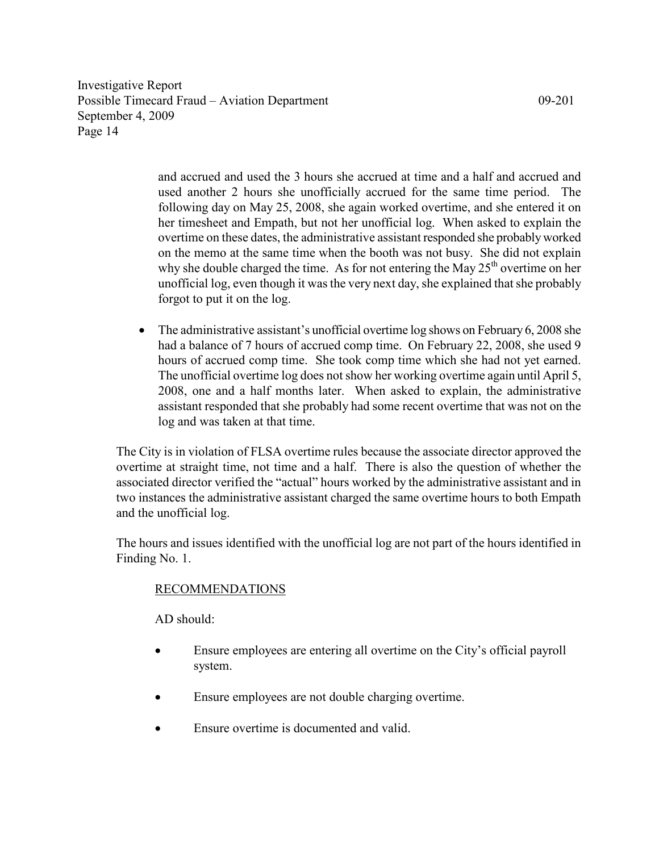> and accrued and used the 3 hours she accrued at time and a half and accrued and used another 2 hours she unofficially accrued for the same time period. The following day on May 25, 2008, she again worked overtime, and she entered it on her timesheet and Empath, but not her unofficial log. When asked to explain the overtime on these dates, the administrative assistant responded she probably worked on the memo at the same time when the booth was not busy. She did not explain why she double charged the time. As for not entering the May  $25<sup>th</sup>$  overtime on her unofficial log, even though it was the very next day, she explained that she probably forgot to put it on the log.

• The administrative assistant's unofficial overtime log shows on February 6, 2008 she had a balance of 7 hours of accrued comp time. On February 22, 2008, she used 9 hours of accrued comp time. She took comp time which she had not yet earned. The unofficial overtime log does not show her working overtime again until April 5, 2008, one and a half months later. When asked to explain, the administrative assistant responded that she probably had some recent overtime that was not on the log and was taken at that time.

The City is in violation of FLSA overtime rules because the associate director approved the overtime at straight time, not time and a half. There is also the question of whether the associated director verified the "actual" hours worked by the administrative assistant and in two instances the administrative assistant charged the same overtime hours to both Empath and the unofficial log.

The hours and issues identified with the unofficial log are not part of the hours identified in Finding No. 1.

# RECOMMENDATIONS

 $AD$  should:

- Ensure employees are entering all overtime on the City's official payroll system.
- Ensure employees are not double charging overtime.
- Ensure overtime is documented and valid.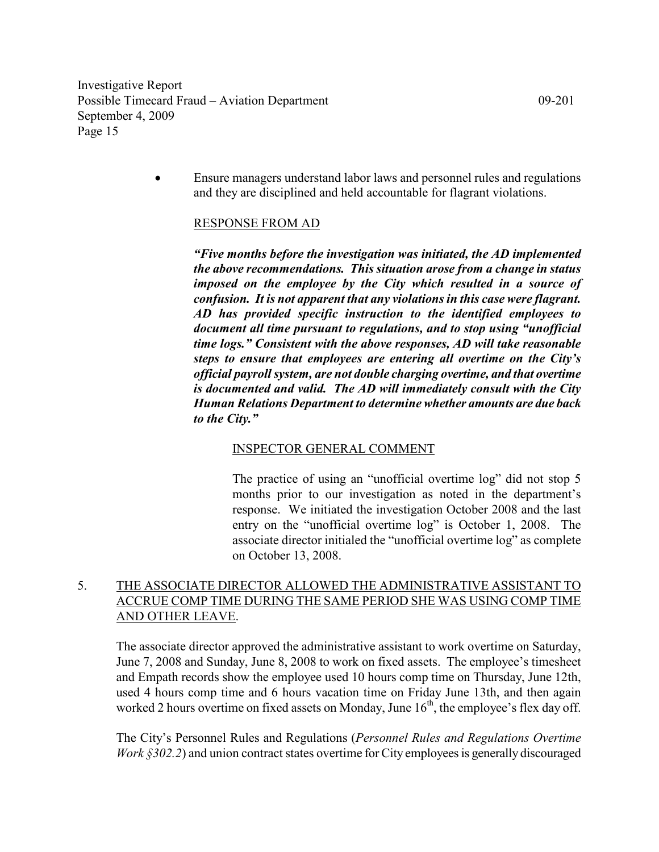> • Ensure managers understand labor laws and personnel rules and regulations and they are disciplined and held accountable for flagrant violations.

# RESPONSE FROM AD

"Five months before the investigation was initiated, the AD implemented the above recommendations. This situation arose from a change in status imposed on the employee by the City which resulted in a source of confusion. It is not apparent that any violations in this case were flagrant. AD has provided specific instruction to the identified employees to document all time pursuant to regulations, and to stop using "unofficial time logs." Consistent with the above responses, AD will take reasonable steps to ensure that employees are entering all overtime on the City's official payroll system, are not double charging overtime, and that overtime is documented and valid. The AD will immediately consult with the City Human Relations Department to determine whether amounts are due back to the City."

#### INSPECTOR GENERAL COMMENT

The practice of using an "unofficial overtime log" did not stop 5 months prior to our investigation as noted in the department's response. We initiated the investigation October 2008 and the last entry on the "unofficial overtime log" is October 1, 2008. The associate director initialed the "unofficial overtime log" as complete on October 13, 2008.

# 5. THE ASSOCIATE DIRECTOR ALLOWED THE ADMINISTRATIVE ASSISTANT TO ACCRUE COMP TIME DURING THE SAME PERIOD SHE WAS USING COMP TIME AND OTHER LEAVE.

 The associate director approved the administrative assistant to work overtime on Saturday, June 7, 2008 and Sunday, June 8, 2008 to work on fixed assets. The employee's timesheet and Empath records show the employee used 10 hours comp time on Thursday, June 12th, used 4 hours comp time and 6 hours vacation time on Friday June 13th, and then again worked 2 hours overtime on fixed assets on Monday, June  $16<sup>th</sup>$ , the employee's flex day off.

The City's Personnel Rules and Regulations (Personnel Rules and Regulations Overtime Work §302.2) and union contract states overtime for City employees is generally discouraged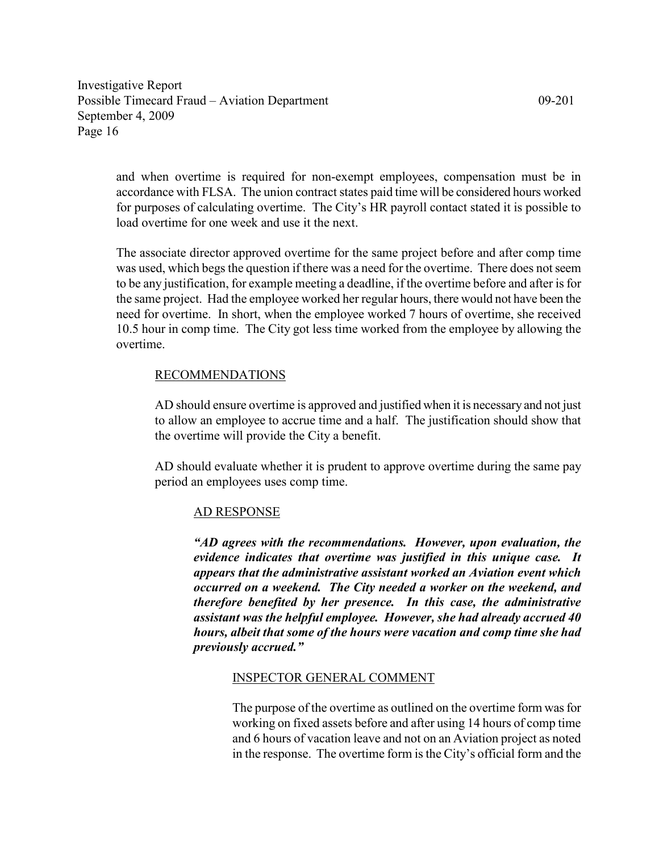and when overtime is required for non-exempt employees, compensation must be in accordance with FLSA. The union contract states paid time will be considered hours worked for purposes of calculating overtime. The City's HR payroll contact stated it is possible to load overtime for one week and use it the next.

The associate director approved overtime for the same project before and after comp time was used, which begs the question if there was a need for the overtime. There does not seem to be any justification, for example meeting a deadline, if the overtime before and after is for the same project. Had the employee worked her regular hours, there would not have been the need for overtime. In short, when the employee worked 7 hours of overtime, she received 10.5 hour in comp time. The City got less time worked from the employee by allowing the overtime.

## RECOMMENDATIONS

AD should ensure overtime is approved and justified when it is necessary and not just to allow an employee to accrue time and a half. The justification should show that the overtime will provide the City a benefit.

AD should evaluate whether it is prudent to approve overtime during the same pay period an employees uses comp time.

#### AD RESPONSE

"AD agrees with the recommendations. However, upon evaluation, the evidence indicates that overtime was justified in this unique case. It appears that the administrative assistant worked an Aviation event which occurred on a weekend. The City needed a worker on the weekend, and therefore benefited by her presence. In this case, the administrative assistant was the helpful employee. However, she had already accrued 40 hours, albeit that some of the hours were vacation and comp time she had previously accrued."

#### INSPECTOR GENERAL COMMENT

The purpose of the overtime as outlined on the overtime form was for working on fixed assets before and after using 14 hours of comp time and 6 hours of vacation leave and not on an Aviation project as noted in the response. The overtime form is the City's official form and the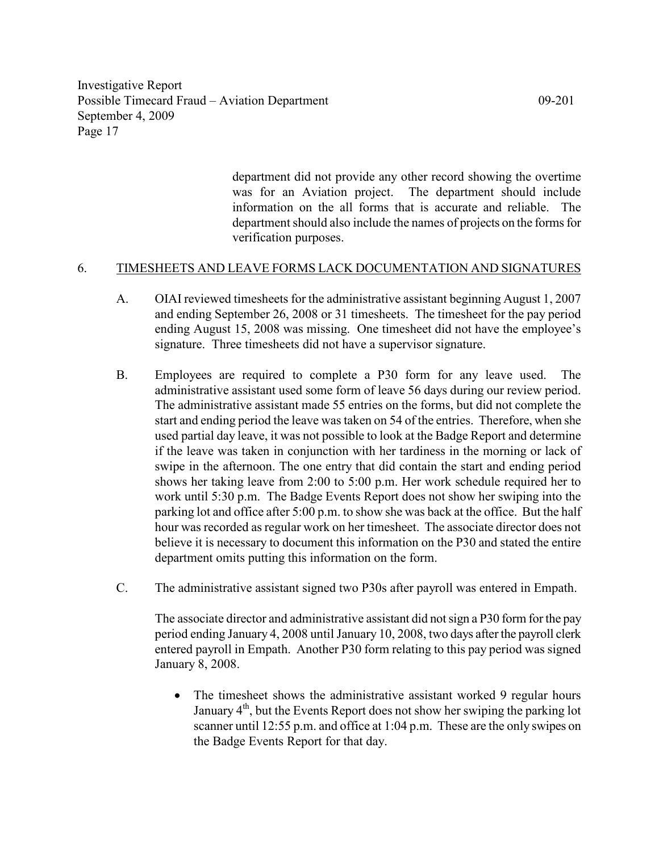> department did not provide any other record showing the overtime was for an Aviation project. The department should include information on the all forms that is accurate and reliable. The department should also include the names of projects on the forms for verification purposes.

# 6. TIMESHEETS AND LEAVE FORMS LACK DOCUMENTATION AND SIGNATURES

- A. OIAI reviewed timesheets for the administrative assistant beginning August 1, 2007 and ending September 26, 2008 or 31 timesheets. The timesheet for the pay period ending August 15, 2008 was missing. One timesheet did not have the employee's signature. Three timesheets did not have a supervisor signature.
- B. Employees are required to complete a P30 form for any leave used. The administrative assistant used some form of leave 56 days during our review period. The administrative assistant made 55 entries on the forms, but did not complete the start and ending period the leave was taken on 54 of the entries. Therefore, when she used partial day leave, it was not possible to look at the Badge Report and determine if the leave was taken in conjunction with her tardiness in the morning or lack of swipe in the afternoon. The one entry that did contain the start and ending period shows her taking leave from 2:00 to 5:00 p.m. Her work schedule required her to work until 5:30 p.m. The Badge Events Report does not show her swiping into the parking lot and office after 5:00 p.m. to show she was back at the office. But the half hour was recorded as regular work on her timesheet. The associate director does not believe it is necessary to document this information on the P30 and stated the entire department omits putting this information on the form.
- C. The administrative assistant signed two P30s after payroll was entered in Empath.

The associate director and administrative assistant did not sign a P30 form for the pay period ending January 4, 2008 until January 10, 2008, two days after the payroll clerk entered payroll in Empath. Another P30 form relating to this pay period was signed January 8, 2008.

The timesheet shows the administrative assistant worked 9 regular hours January  $4<sup>th</sup>$ , but the Events Report does not show her swiping the parking lot scanner until 12:55 p.m. and office at 1:04 p.m. These are the only swipes on the Badge Events Report for that day.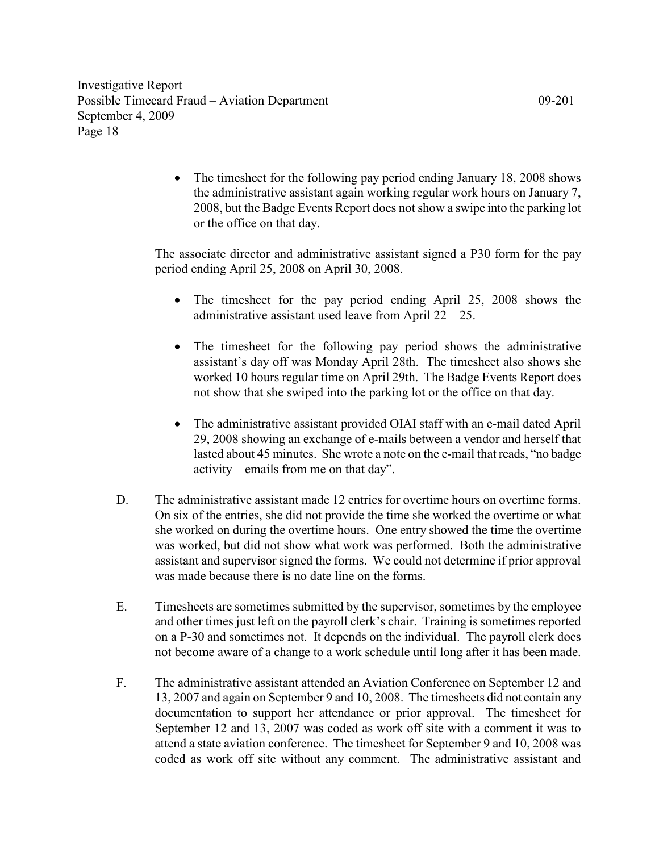> • The timesheet for the following pay period ending January 18, 2008 shows the administrative assistant again working regular work hours on January 7, 2008, but the Badge Events Report does not show a swipe into the parking lot or the office on that day.

The associate director and administrative assistant signed a P30 form for the pay period ending April 25, 2008 on April 30, 2008.

- The timesheet for the pay period ending April 25, 2008 shows the administrative assistant used leave from April  $22 - 25$ .
- The timesheet for the following pay period shows the administrative assistant's day off was Monday April 28th. The timesheet also shows she worked 10 hours regular time on April 29th. The Badge Events Report does not show that she swiped into the parking lot or the office on that day.
- The administrative assistant provided OIAI staff with an e-mail dated April 29, 2008 showing an exchange of e-mails between a vendor and herself that lasted about 45 minutes. She wrote a note on the e-mail that reads, "no badge activity – emails from me on that day".
- D. The administrative assistant made 12 entries for overtime hours on overtime forms. On six of the entries, she did not provide the time she worked the overtime or what she worked on during the overtime hours. One entry showed the time the overtime was worked, but did not show what work was performed. Both the administrative assistant and supervisor signed the forms. We could not determine if prior approval was made because there is no date line on the forms.
- E. Timesheets are sometimes submitted by the supervisor, sometimes by the employee and other times just left on the payroll clerk's chair. Training is sometimes reported on a P-30 and sometimes not. It depends on the individual. The payroll clerk does not become aware of a change to a work schedule until long after it has been made.
- F. The administrative assistant attended an Aviation Conference on September 12 and 13, 2007 and again on September 9 and 10, 2008. The timesheets did not contain any documentation to support her attendance or prior approval. The timesheet for September 12 and 13, 2007 was coded as work off site with a comment it was to attend a state aviation conference. The timesheet for September 9 and 10, 2008 was coded as work off site without any comment. The administrative assistant and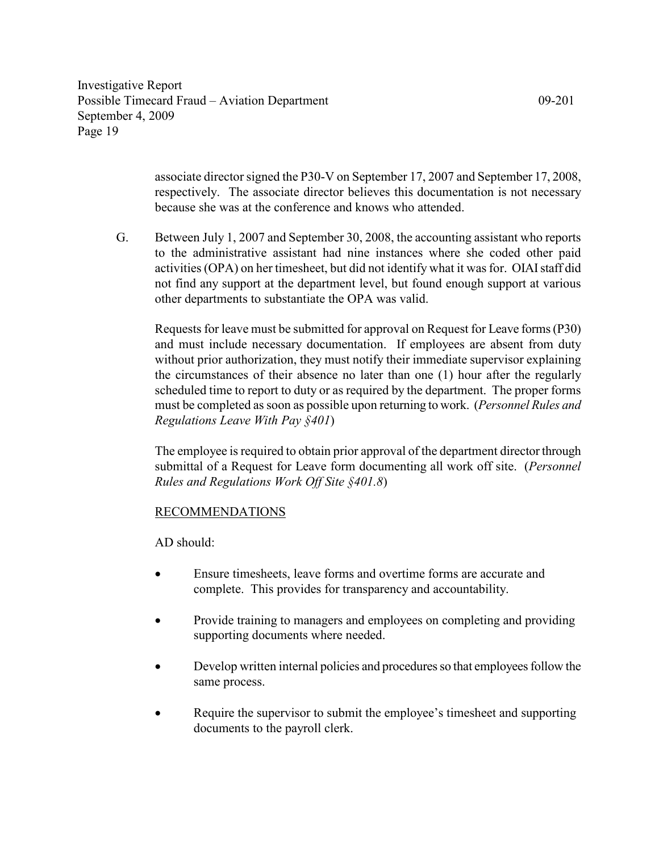> associate director signed the P30-V on September 17, 2007 and September 17, 2008, respectively. The associate director believes this documentation is not necessary because she was at the conference and knows who attended.

G. Between July 1, 2007 and September 30, 2008, the accounting assistant who reports to the administrative assistant had nine instances where she coded other paid activities (OPA) on her timesheet, but did not identify what it was for. OIAI staff did not find any support at the department level, but found enough support at various other departments to substantiate the OPA was valid.

Requests for leave must be submitted for approval on Request for Leave forms (P30) and must include necessary documentation. If employees are absent from duty without prior authorization, they must notify their immediate supervisor explaining the circumstances of their absence no later than one (1) hour after the regularly scheduled time to report to duty or as required by the department. The proper forms must be completed as soon as possible upon returning to work. (Personnel Rules and Regulations Leave With Pay §401)

The employee is required to obtain prior approval of the department director through submittal of a Request for Leave form documenting all work off site. (Personnel Rules and Regulations Work Off Site §401.8)

# RECOMMENDATIONS

AD should:

- Ensure timesheets, leave forms and overtime forms are accurate and complete. This provides for transparency and accountability.
- Provide training to managers and employees on completing and providing supporting documents where needed.
- Develop written internal policies and procedures so that employees follow the same process.
- Require the supervisor to submit the employee's timesheet and supporting documents to the payroll clerk.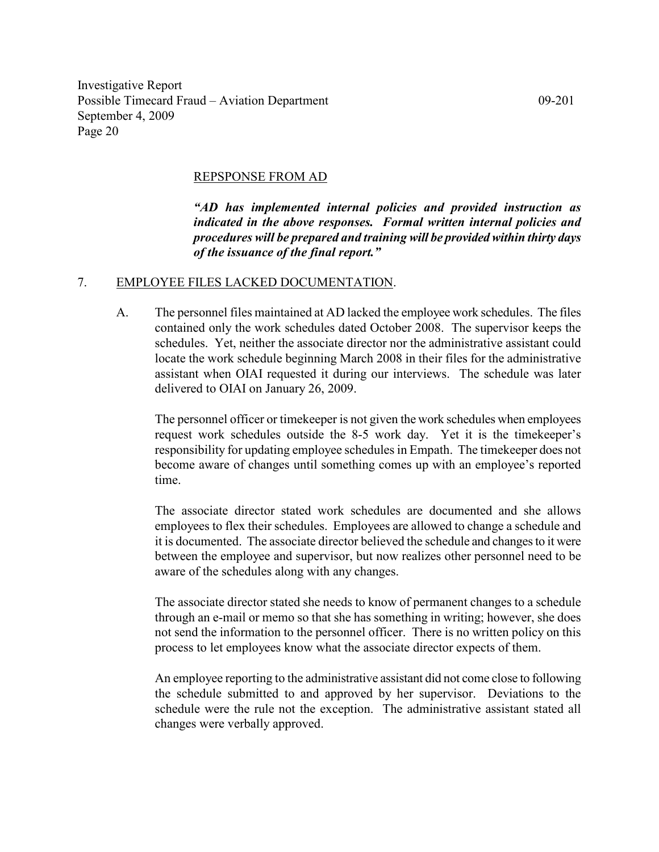#### REPSPONSE FROM AD

"AD has implemented internal policies and provided instruction as indicated in the above responses. Formal written internal policies and procedures will be prepared and training will be provided within thirty days of the issuance of the final report."

#### 7. EMPLOYEE FILES LACKED DOCUMENTATION.

A. The personnel files maintained at AD lacked the employee work schedules. The files contained only the work schedules dated October 2008. The supervisor keeps the schedules. Yet, neither the associate director nor the administrative assistant could locate the work schedule beginning March 2008 in their files for the administrative assistant when OIAI requested it during our interviews. The schedule was later delivered to OIAI on January 26, 2009.

The personnel officer or timekeeper is not given the work schedules when employees request work schedules outside the 8-5 work day. Yet it is the timekeeper's responsibility for updating employee schedules in Empath. The timekeeper does not become aware of changes until something comes up with an employee's reported time.

The associate director stated work schedules are documented and she allows employees to flex their schedules. Employees are allowed to change a schedule and it is documented. The associate director believed the schedule and changes to it were between the employee and supervisor, but now realizes other personnel need to be aware of the schedules along with any changes.

The associate director stated she needs to know of permanent changes to a schedule through an e-mail or memo so that she has something in writing; however, she does not send the information to the personnel officer. There is no written policy on this process to let employees know what the associate director expects of them.

An employee reporting to the administrative assistant did not come close to following the schedule submitted to and approved by her supervisor. Deviations to the schedule were the rule not the exception. The administrative assistant stated all changes were verbally approved.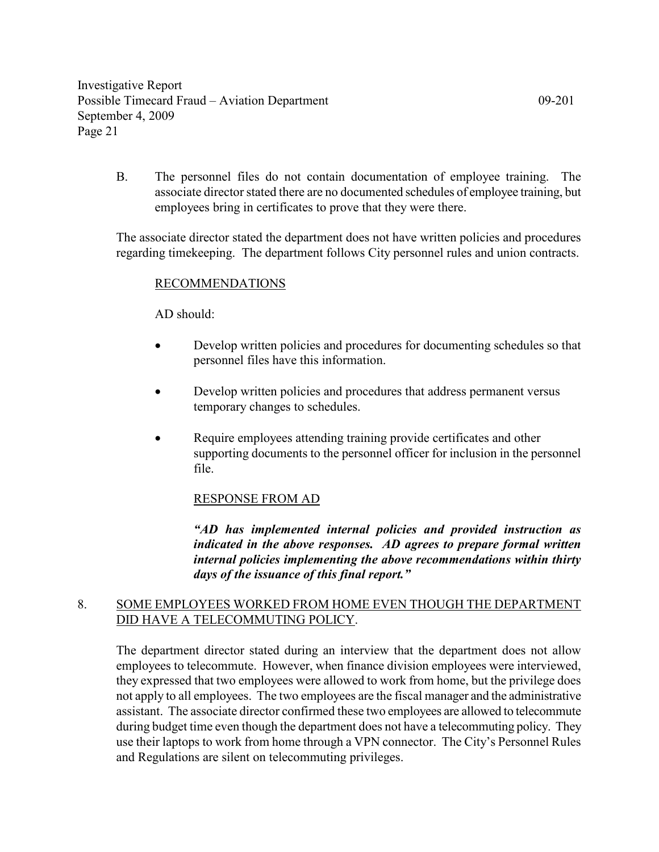B. The personnel files do not contain documentation of employee training. The associate director stated there are no documented schedules of employee training, but employees bring in certificates to prove that they were there.

The associate director stated the department does not have written policies and procedures regarding timekeeping. The department follows City personnel rules and union contracts.

## RECOMMENDATIONS

AD should:

- Develop written policies and procedures for documenting schedules so that personnel files have this information.
- Develop written policies and procedures that address permanent versus temporary changes to schedules.
- Require employees attending training provide certificates and other supporting documents to the personnel officer for inclusion in the personnel file.

#### RESPONSE FROM AD

"AD has implemented internal policies and provided instruction as indicated in the above responses. AD agrees to prepare formal written internal policies implementing the above recommendations within thirty days of the issuance of this final report."

# 8. SOME EMPLOYEES WORKED FROM HOME EVEN THOUGH THE DEPARTMENT DID HAVE A TELECOMMUTING POLICY.

 The department director stated during an interview that the department does not allow employees to telecommute. However, when finance division employees were interviewed, they expressed that two employees were allowed to work from home, but the privilege does not apply to all employees. The two employees are the fiscal manager and the administrative assistant. The associate director confirmed these two employees are allowed to telecommute during budget time even though the department does not have a telecommuting policy. They use their laptops to work from home through a VPN connector. The City's Personnel Rules and Regulations are silent on telecommuting privileges.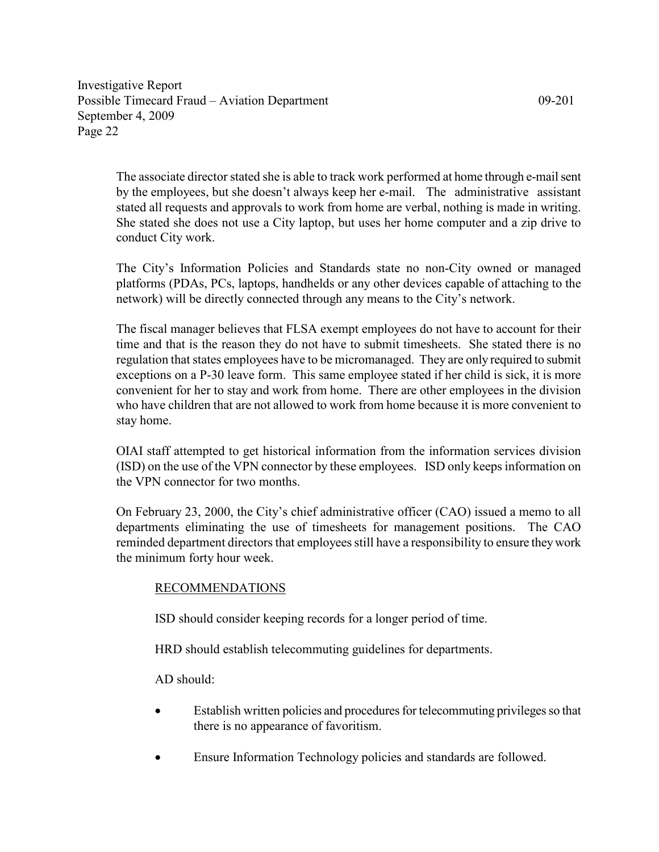The associate director stated she is able to track work performed at home through e-mail sent by the employees, but she doesn't always keep her e-mail. The administrative assistant stated all requests and approvals to work from home are verbal, nothing is made in writing. She stated she does not use a City laptop, but uses her home computer and a zip drive to conduct City work.

 The City's Information Policies and Standards state no non-City owned or managed platforms (PDAs, PCs, laptops, handhelds or any other devices capable of attaching to the network) will be directly connected through any means to the City's network.

The fiscal manager believes that FLSA exempt employees do not have to account for their time and that is the reason they do not have to submit timesheets. She stated there is no regulation that states employees have to be micromanaged. They are only required to submit exceptions on a P-30 leave form. This same employee stated if her child is sick, it is more convenient for her to stay and work from home. There are other employees in the division who have children that are not allowed to work from home because it is more convenient to stay home.

OIAI staff attempted to get historical information from the information services division (ISD) on the use of the VPN connector by these employees. ISD only keeps information on the VPN connector for two months.

On February 23, 2000, the City's chief administrative officer (CAO) issued a memo to all departments eliminating the use of timesheets for management positions. The CAO reminded department directors that employees still have a responsibility to ensure they work the minimum forty hour week.

# RECOMMENDATIONS

ISD should consider keeping records for a longer period of time.

HRD should establish telecommuting guidelines for departments.

 $AD$  should:

- Establish written policies and procedures for telecommuting privileges so that there is no appearance of favoritism.
- Ensure Information Technology policies and standards are followed.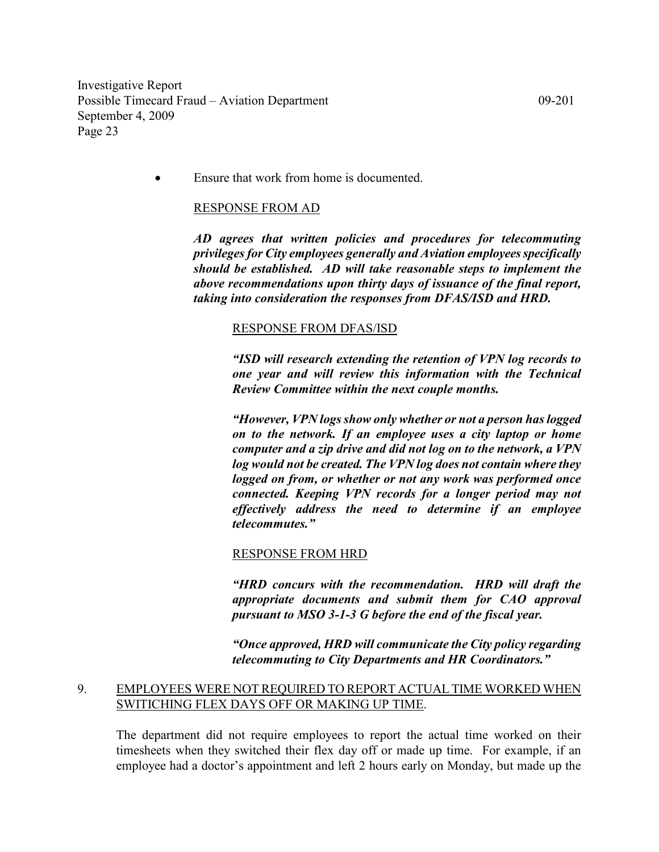• Ensure that work from home is documented.

#### RESPONSE FROM AD

AD agrees that written policies and procedures for telecommuting privileges for City employees generally and Aviation employees specifically should be established. AD will take reasonable steps to implement the above recommendations upon thirty days of issuance of the final report, taking into consideration the responses from DFAS/ISD and HRD.

#### RESPONSE FROM DFAS/ISD

"ISD will research extending the retention of VPN log records to one year and will review this information with the Technical Review Committee within the next couple months.

"However, VPN logs show only whether or not a person has logged on to the network. If an employee uses a city laptop or home computer and a zip drive and did not log on to the network, a VPN log would not be created. The VPN log does not contain where they logged on from, or whether or not any work was performed once connected. Keeping VPN records for a longer period may not effectively address the need to determine if an employee telecommutes."

#### RESPONSE FROM HRD

"HRD concurs with the recommendation. HRD will draft the appropriate documents and submit them for CAO approval pursuant to MSO 3-1-3 G before the end of the fiscal year.

"Once approved, HRD will communicate the City policy regarding telecommuting to City Departments and HR Coordinators."

# 9. EMPLOYEES WERE NOT REQUIRED TO REPORT ACTUAL TIME WORKED WHEN SWITICHING FLEX DAYS OFF OR MAKING UP TIME.

 The department did not require employees to report the actual time worked on their timesheets when they switched their flex day off or made up time. For example, if an employee had a doctor's appointment and left 2 hours early on Monday, but made up the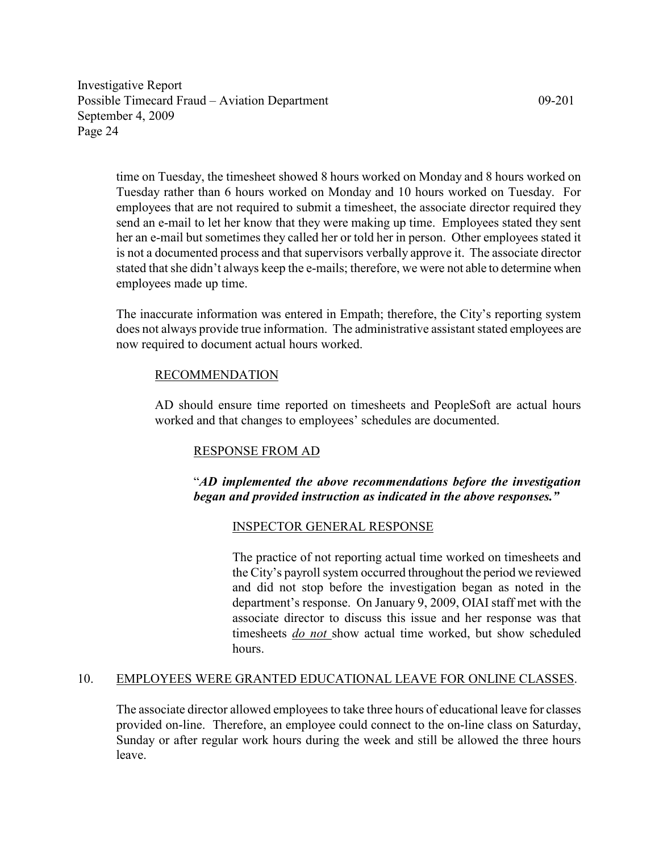time on Tuesday, the timesheet showed 8 hours worked on Monday and 8 hours worked on Tuesday rather than 6 hours worked on Monday and 10 hours worked on Tuesday. For employees that are not required to submit a timesheet, the associate director required they send an e-mail to let her know that they were making up time. Employees stated they sent her an e-mail but sometimes they called her or told her in person. Other employees stated it is not a documented process and that supervisors verbally approve it. The associate director stated that she didn't always keep the e-mails; therefore, we were not able to determine when employees made up time.

 The inaccurate information was entered in Empath; therefore, the City's reporting system does not always provide true information. The administrative assistant stated employees are now required to document actual hours worked.

# RECOMMENDATION

AD should ensure time reported on timesheets and PeopleSoft are actual hours worked and that changes to employees' schedules are documented.

# RESPONSE FROM AD

# "AD implemented the above recommendations before the investigation began and provided instruction as indicated in the above responses."

# INSPECTOR GENERAL RESPONSE

The practice of not reporting actual time worked on timesheets and the City's payroll system occurred throughout the period we reviewed and did not stop before the investigation began as noted in the department's response. On January 9, 2009, OIAI staff met with the associate director to discuss this issue and her response was that timesheets do not show actual time worked, but show scheduled hours.

# 10. EMPLOYEES WERE GRANTED EDUCATIONAL LEAVE FOR ONLINE CLASSES.

The associate director allowed employees to take three hours of educational leave for classes provided on-line. Therefore, an employee could connect to the on-line class on Saturday, Sunday or after regular work hours during the week and still be allowed the three hours leave.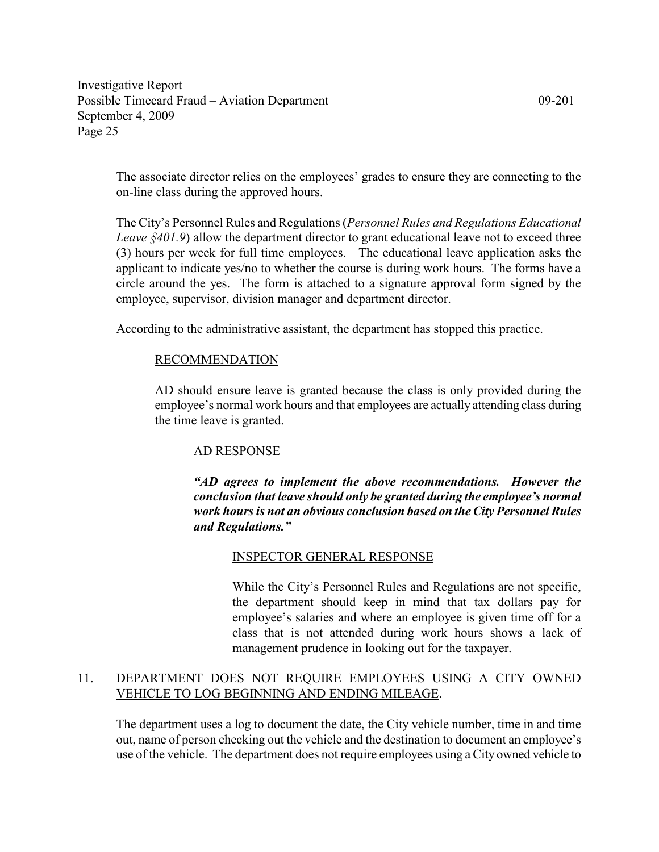The associate director relies on the employees' grades to ensure they are connecting to the on-line class during the approved hours.

The City's Personnel Rules and Regulations (Personnel Rules and Regulations Educational Leave §401.9) allow the department director to grant educational leave not to exceed three (3) hours per week for full time employees. The educational leave application asks the applicant to indicate yes/no to whether the course is during work hours. The forms have a circle around the yes. The form is attached to a signature approval form signed by the employee, supervisor, division manager and department director.

According to the administrative assistant, the department has stopped this practice.

# RECOMMENDATION

AD should ensure leave is granted because the class is only provided during the employee's normal work hours and that employees are actually attending class during the time leave is granted.

# AD RESPONSE

"AD agrees to implement the above recommendations. However the conclusion that leave should only be granted during the employee's normal work hours is not an obvious conclusion based on the City Personnel Rules and Regulations."

# INSPECTOR GENERAL RESPONSE

While the City's Personnel Rules and Regulations are not specific, the department should keep in mind that tax dollars pay for employee's salaries and where an employee is given time off for a class that is not attended during work hours shows a lack of management prudence in looking out for the taxpayer.

# 11. DEPARTMENT DOES NOT REQUIRE EMPLOYEES USING A CITY OWNED VEHICLE TO LOG BEGINNING AND ENDING MILEAGE.

The department uses a log to document the date, the City vehicle number, time in and time out, name of person checking out the vehicle and the destination to document an employee's use of the vehicle. The department does not require employees using a City owned vehicle to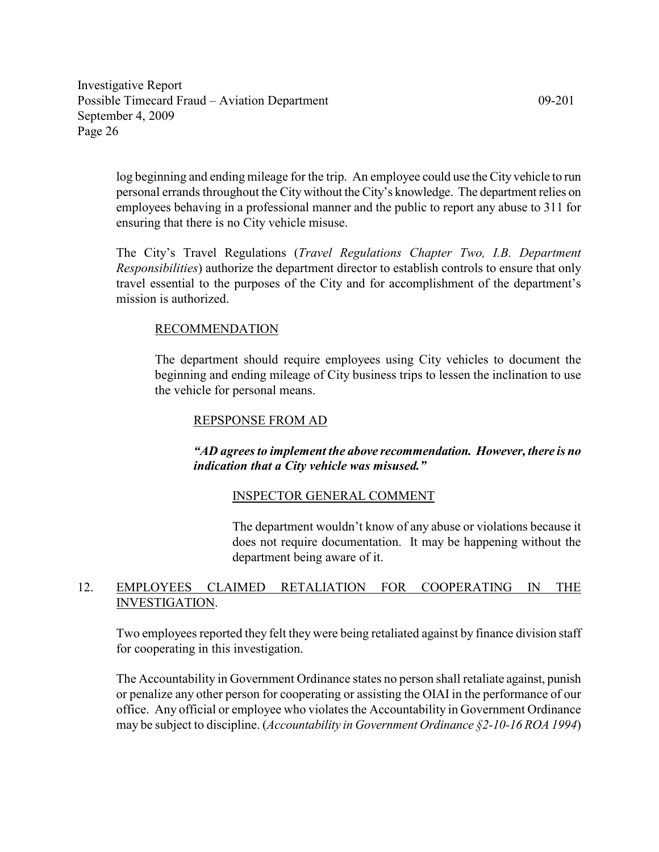log beginning and ending mileage for the trip. An employee could use the City vehicle to run personal errands throughout the City without the City's knowledge. The department relies on employees behaving in a professional manner and the public to report any abuse to 311 for ensuring that there is no City vehicle misuse.

The City's Travel Regulations (Travel Regulations Chapter Two, I.B. Department Responsibilities) authorize the department director to establish controls to ensure that only travel essential to the purposes of the City and for accomplishment of the department's mission is authorized.

# RECOMMENDATION

The department should require employees using City vehicles to document the beginning and ending mileage of City business trips to lessen the inclination to use the vehicle for personal means.

# REPSPONSE FROM AD

# "AD agrees to implement the above recommendation. However, there is no indication that a City vehicle was misused."

# INSPECTOR GENERAL COMMENT

The department wouldn't know of any abuse or violations because it does not require documentation. It may be happening without the department being aware of it.

# 12. EMPLOYEES CLAIMED RETALIATION FOR COOPERATING IN THE INVESTIGATION.

Two employees reported they felt they were being retaliated against by finance division staff for cooperating in this investigation.

The Accountability in Government Ordinance states no person shall retaliate against, punish or penalize any other person for cooperating or assisting the OIAI in the performance of our office. Any official or employee who violates the Accountability in Government Ordinance may be subject to discipline. (*Accountability in Government Ordinance* §2-10-16 ROA 1994)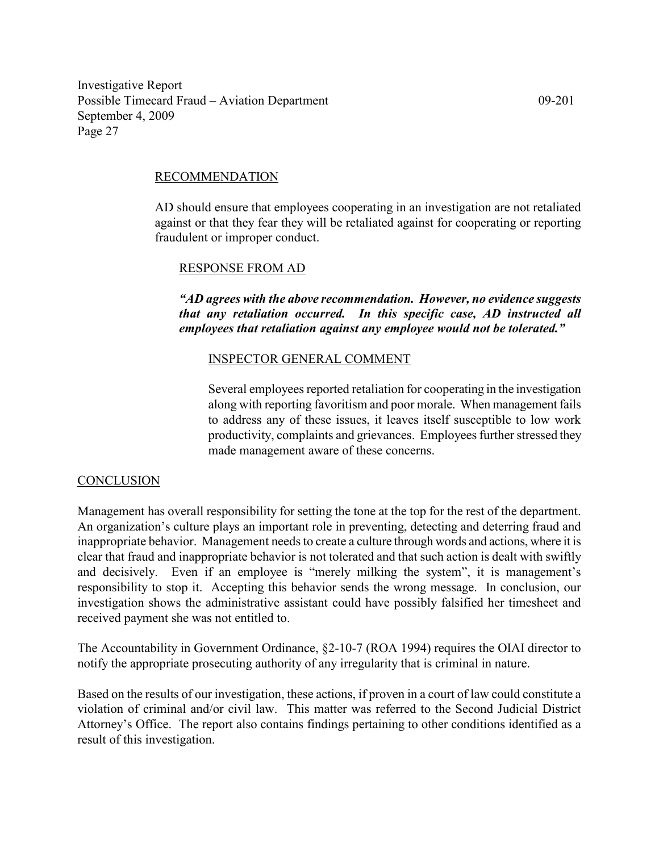## RECOMMENDATION

AD should ensure that employees cooperating in an investigation are not retaliated against or that they fear they will be retaliated against for cooperating or reporting fraudulent or improper conduct.

## RESPONSE FROM AD

"AD agrees with the above recommendation. However, no evidence suggests that any retaliation occurred. In this specific case, AD instructed all employees that retaliation against any employee would not be tolerated."

# INSPECTOR GENERAL COMMENT

Several employees reported retaliation for cooperating in the investigation along with reporting favoritism and poor morale. When management fails to address any of these issues, it leaves itself susceptible to low work productivity, complaints and grievances. Employees further stressed they made management aware of these concerns.

#### **CONCLUSION**

Management has overall responsibility for setting the tone at the top for the rest of the department. An organization's culture plays an important role in preventing, detecting and deterring fraud and inappropriate behavior. Management needs to create a culture through words and actions, where it is clear that fraud and inappropriate behavior is not tolerated and that such action is dealt with swiftly and decisively. Even if an employee is "merely milking the system", it is management's responsibility to stop it. Accepting this behavior sends the wrong message. In conclusion, our investigation shows the administrative assistant could have possibly falsified her timesheet and received payment she was not entitled to.

The Accountability in Government Ordinance, §2-10-7 (ROA 1994) requires the OIAI director to notify the appropriate prosecuting authority of any irregularity that is criminal in nature.

Based on the results of our investigation, these actions, if proven in a court of law could constitute a violation of criminal and/or civil law. This matter was referred to the Second Judicial District Attorney's Office. The report also contains findings pertaining to other conditions identified as a result of this investigation.